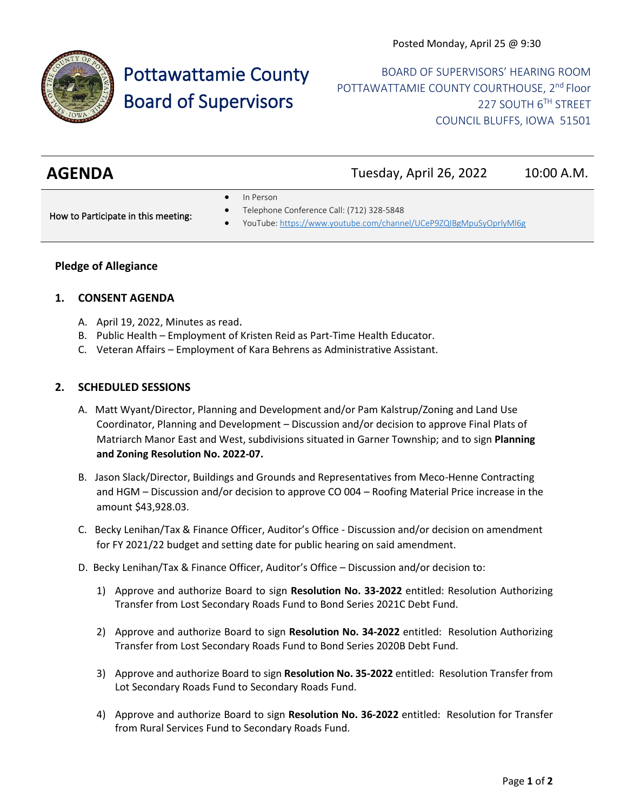

# Pottawattamie County Board of Supervisors

BOARD OF SUPERVISORS' HEARING ROOM POTTAWATTAMIE COUNTY COURTHOUSE, 2<sup>nd</sup> Floor 227 SOUTH 6TH STREET COUNCIL BLUFFS, IOWA 51501

| <b>AGENDA</b> | Tuesday, April 26, 2022 | 10:00 A.M. |
|---------------|-------------------------|------------|
|               |                         |            |

In Person

How to Participate in this meeting:

- Telephone Conference Call: (712) 328-5848
- YouTube[: https://www.youtube.com/channel/UCeP9ZQIBgMpuSyOprlyMl6g](https://www.youtube.com/channel/UCeP9ZQIBgMpuSyOprlyMl6g)

## **Pledge of Allegiance**

## **1. CONSENT AGENDA**

- A. April 19, 2022, Minutes as read.
- B. Public Health Employment of Kristen Reid as Part-Time Health Educator.
- C. Veteran Affairs Employment of Kara Behrens as Administrative Assistant.

#### **2. SCHEDULED SESSIONS**

- A. Matt Wyant/Director, Planning and Development and/or Pam Kalstrup/Zoning and Land Use Coordinator, Planning and Development – Discussion and/or decision to approve Final Plats of Matriarch Manor East and West, subdivisions situated in Garner Township; and to sign **Planning and Zoning Resolution No. 2022-07.**
- B. Jason Slack/Director, Buildings and Grounds and Representatives from Meco-Henne Contracting and HGM – Discussion and/or decision to approve CO 004 – Roofing Material Price increase in the amount \$43,928.03.
- C. Becky Lenihan/Tax & Finance Officer, Auditor's Office Discussion and/or decision on amendment for FY 2021/22 budget and setting date for public hearing on said amendment.
- D. Becky Lenihan/Tax & Finance Officer, Auditor's Office Discussion and/or decision to:
	- 1) Approve and authorize Board to sign **Resolution No. 33-2022** entitled: Resolution Authorizing Transfer from Lost Secondary Roads Fund to Bond Series 2021C Debt Fund.
	- 2) Approve and authorize Board to sign **Resolution No. 34-2022** entitled: Resolution Authorizing Transfer from Lost Secondary Roads Fund to Bond Series 2020B Debt Fund.
	- 3) Approve and authorize Board to sign **Resolution No. 35-2022** entitled: Resolution Transfer from Lot Secondary Roads Fund to Secondary Roads Fund.
	- 4) Approve and authorize Board to sign **Resolution No. 36-2022** entitled: Resolution for Transfer from Rural Services Fund to Secondary Roads Fund.